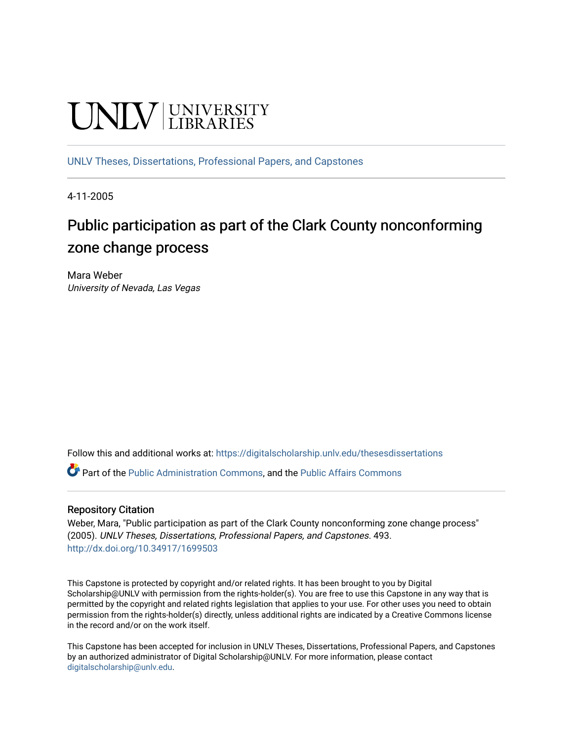# **UNIVERSITY**

[UNLV Theses, Dissertations, Professional Papers, and Capstones](https://digitalscholarship.unlv.edu/thesesdissertations)

4-11-2005

# Public participation as part of the Clark County nonconforming zone change process

Mara Weber University of Nevada, Las Vegas

Follow this and additional works at: [https://digitalscholarship.unlv.edu/thesesdissertations](https://digitalscholarship.unlv.edu/thesesdissertations?utm_source=digitalscholarship.unlv.edu%2Fthesesdissertations%2F493&utm_medium=PDF&utm_campaign=PDFCoverPages)

Part of the [Public Administration Commons](http://network.bepress.com/hgg/discipline/398?utm_source=digitalscholarship.unlv.edu%2Fthesesdissertations%2F493&utm_medium=PDF&utm_campaign=PDFCoverPages), and the [Public Affairs Commons](http://network.bepress.com/hgg/discipline/399?utm_source=digitalscholarship.unlv.edu%2Fthesesdissertations%2F493&utm_medium=PDF&utm_campaign=PDFCoverPages) 

#### Repository Citation

Weber, Mara, "Public participation as part of the Clark County nonconforming zone change process" (2005). UNLV Theses, Dissertations, Professional Papers, and Capstones. 493. <http://dx.doi.org/10.34917/1699503>

This Capstone is protected by copyright and/or related rights. It has been brought to you by Digital Scholarship@UNLV with permission from the rights-holder(s). You are free to use this Capstone in any way that is permitted by the copyright and related rights legislation that applies to your use. For other uses you need to obtain permission from the rights-holder(s) directly, unless additional rights are indicated by a Creative Commons license in the record and/or on the work itself.

This Capstone has been accepted for inclusion in UNLV Theses, Dissertations, Professional Papers, and Capstones by an authorized administrator of Digital Scholarship@UNLV. For more information, please contact [digitalscholarship@unlv.edu](mailto:digitalscholarship@unlv.edu).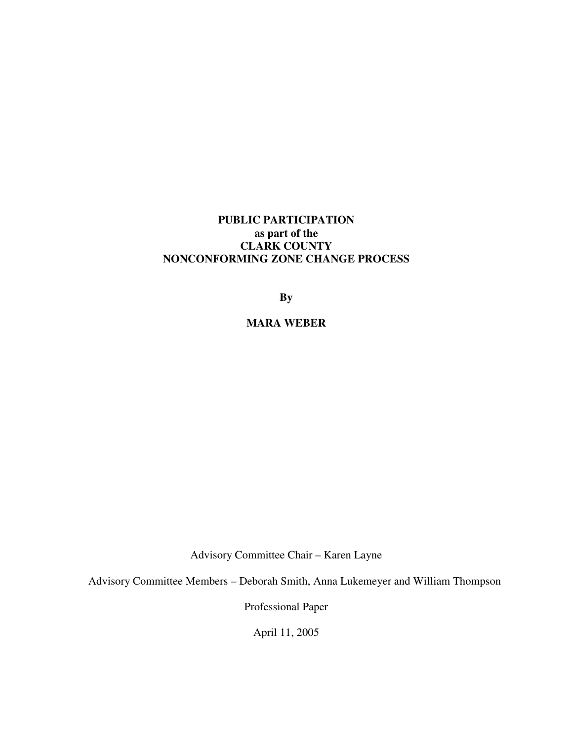# **PUBLIC PARTICIPATION as part of the CLARK COUNTY NONCONFORMING ZONE CHANGE PROCESS**

**By** 

**MARA WEBER** 

Advisory Committee Chair – Karen Layne

Advisory Committee Members – Deborah Smith, Anna Lukemeyer and William Thompson

Professional Paper

April 11, 2005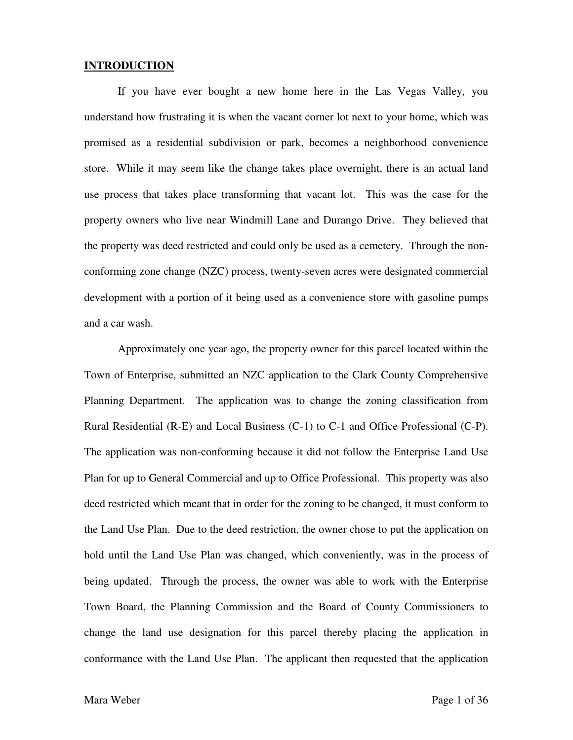#### **INTRODUCTION**

 If you have ever bought a new home here in the Las Vegas Valley, you understand how frustrating it is when the vacant corner lot next to your home, which was promised as a residential subdivision or park, becomes a neighborhood convenience store. While it may seem like the change takes place overnight, there is an actual land use process that takes place transforming that vacant lot. This was the case for the property owners who live near Windmill Lane and Durango Drive. They believed that the property was deed restricted and could only be used as a cemetery. Through the nonconforming zone change (NZC) process, twenty-seven acres were designated commercial development with a portion of it being used as a convenience store with gasoline pumps and a car wash.

 Approximately one year ago, the property owner for this parcel located within the Town of Enterprise, submitted an NZC application to the Clark County Comprehensive Planning Department. The application was to change the zoning classification from Rural Residential (R-E) and Local Business (C-1) to C-1 and Office Professional (C-P). The application was non-conforming because it did not follow the Enterprise Land Use Plan for up to General Commercial and up to Office Professional. This property was also deed restricted which meant that in order for the zoning to be changed, it must conform to the Land Use Plan. Due to the deed restriction, the owner chose to put the application on hold until the Land Use Plan was changed, which conveniently, was in the process of being updated. Through the process, the owner was able to work with the Enterprise Town Board, the Planning Commission and the Board of County Commissioners to change the land use designation for this parcel thereby placing the application in conformance with the Land Use Plan. The applicant then requested that the application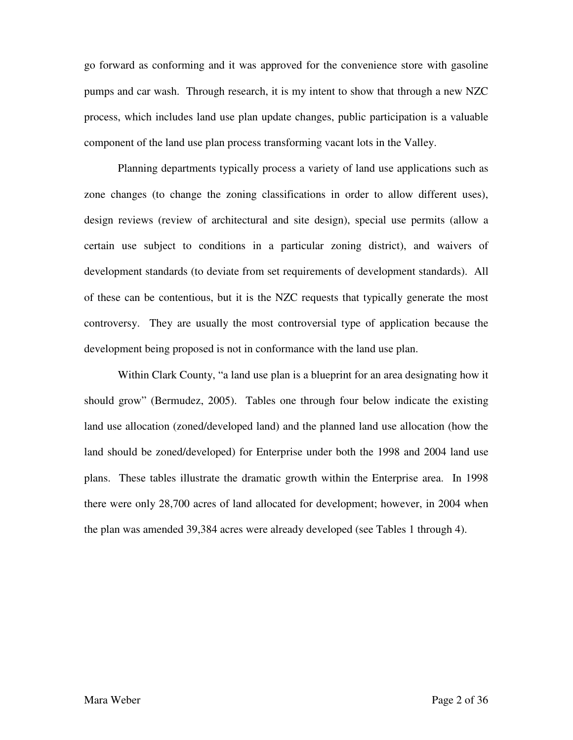go forward as conforming and it was approved for the convenience store with gasoline pumps and car wash. Through research, it is my intent to show that through a new NZC process, which includes land use plan update changes, public participation is a valuable component of the land use plan process transforming vacant lots in the Valley.

 Planning departments typically process a variety of land use applications such as zone changes (to change the zoning classifications in order to allow different uses), design reviews (review of architectural and site design), special use permits (allow a certain use subject to conditions in a particular zoning district), and waivers of development standards (to deviate from set requirements of development standards). All of these can be contentious, but it is the NZC requests that typically generate the most controversy. They are usually the most controversial type of application because the development being proposed is not in conformance with the land use plan.

 Within Clark County, "a land use plan is a blueprint for an area designating how it should grow" (Bermudez, 2005). Tables one through four below indicate the existing land use allocation (zoned/developed land) and the planned land use allocation (how the land should be zoned/developed) for Enterprise under both the 1998 and 2004 land use plans. These tables illustrate the dramatic growth within the Enterprise area. In 1998 there were only 28,700 acres of land allocated for development; however, in 2004 when the plan was amended 39,384 acres were already developed (see Tables 1 through 4).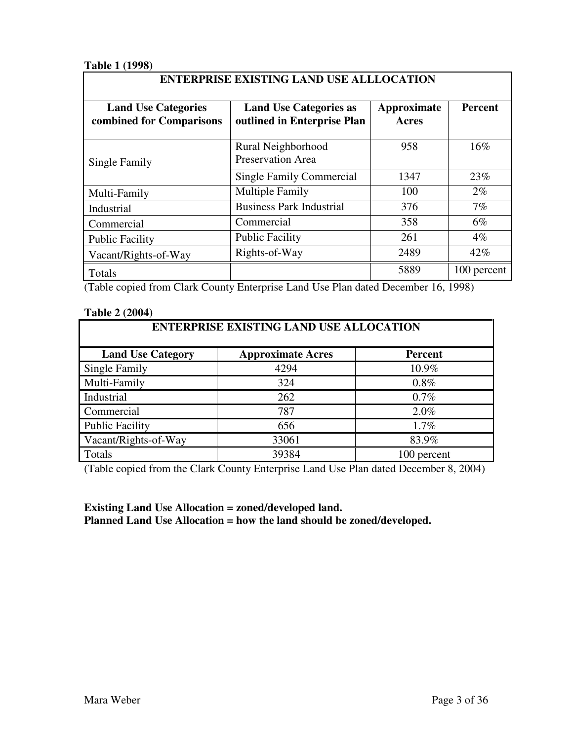# **Table 1 (1998)**

| <b>Land Use Categories</b><br>combined for Comparisons | <b>Land Use Categories as</b><br>outlined in Enterprise Plan | Approximate<br><b>Acres</b> | <b>Percent</b> |
|--------------------------------------------------------|--------------------------------------------------------------|-----------------------------|----------------|
| Single Family                                          | Rural Neighborhood<br><b>Preservation Area</b>               | 958                         | 16%            |
|                                                        | Single Family Commercial                                     | 1347                        | 23%            |
| Multi-Family                                           | <b>Multiple Family</b>                                       | 100                         | $2\%$          |
| Industrial                                             | <b>Business Park Industrial</b>                              | 376                         | 7%             |
| Commercial                                             | Commercial                                                   | 358                         | $6\%$          |
| <b>Public Facility</b>                                 | <b>Public Facility</b>                                       | 261                         | $4\%$          |
| Vacant/Rights-of-Way                                   | Rights-of-Way                                                | 2489                        | 42%            |
| Totals                                                 |                                                              | 5889                        | 100 percent    |

(Table copied from Clark County Enterprise Land Use Plan dated December 16, 1998)

#### **Table 2 (2004)**

| <b>ENTERPRISE EXISTING LAND USE ALLOCATION</b> |                          |                |  |  |
|------------------------------------------------|--------------------------|----------------|--|--|
| <b>Land Use Category</b>                       | <b>Approximate Acres</b> | <b>Percent</b> |  |  |
| Single Family                                  | 4294                     | 10.9%          |  |  |
| Multi-Family                                   | 324                      | 0.8%           |  |  |
| Industrial                                     | 262                      | $0.7\%$        |  |  |
| Commercial                                     | 787                      | 2.0%           |  |  |
| <b>Public Facility</b>                         | 656                      | 1.7%           |  |  |
| Vacant/Rights-of-Way                           | 33061                    | 83.9%          |  |  |
| Totals                                         | 39384                    | 100 percent    |  |  |

(Table copied from the Clark County Enterprise Land Use Plan dated December 8, 2004)

# **Existing Land Use Allocation = zoned/developed land. Planned Land Use Allocation = how the land should be zoned/developed.**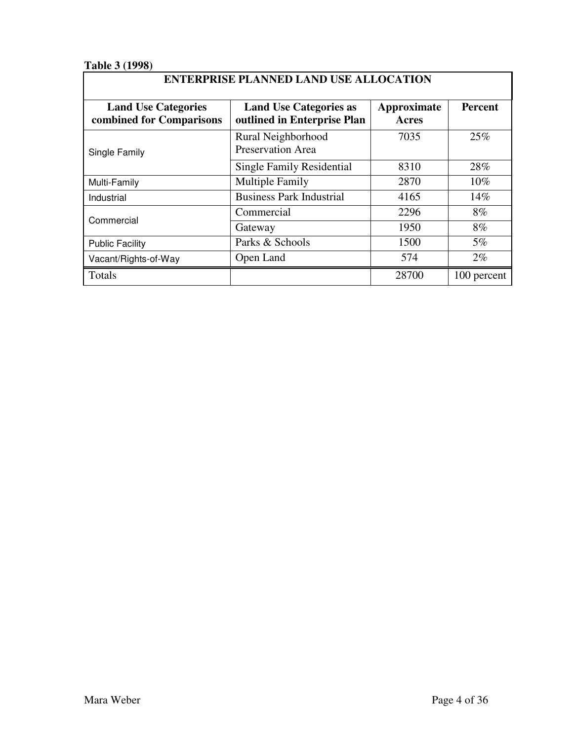# **Table 3 (1998)**

# **ENTERPRISE PLANNED LAND USE ALLOCATION**

| <b>Land Use Categories</b><br>combined for Comparisons | <b>Land Use Categories as</b><br>outlined in Enterprise Plan | Approximate<br><b>Acres</b> | <b>Percent</b> |
|--------------------------------------------------------|--------------------------------------------------------------|-----------------------------|----------------|
| Single Family                                          | Rural Neighborhood<br><b>Preservation Area</b>               | 7035                        | 25%            |
|                                                        | <b>Single Family Residential</b>                             | 8310                        | 28%            |
| Multi-Family                                           | <b>Multiple Family</b>                                       | 2870                        | $10\%$         |
| Industrial                                             | <b>Business Park Industrial</b>                              | 4165                        | 14%            |
| Commercial                                             | Commercial                                                   | 2296                        | 8%             |
|                                                        | Gateway                                                      | 1950                        | 8%             |
| <b>Public Facility</b>                                 | Parks & Schools                                              | 1500                        | $5\%$          |
| Vacant/Rights-of-Way                                   | Open Land                                                    | 574                         | $2\%$          |
| Totals                                                 |                                                              | 28700                       | 100 percent    |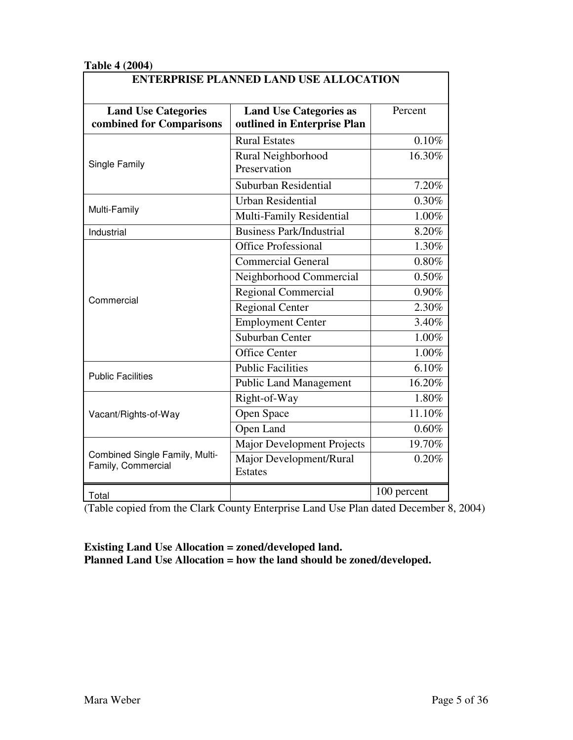## **Table 4 (2004)**

| <b>Land Use Categories</b><br>combined for Comparisons | <b>Land Use Categories as</b><br>outlined in Enterprise Plan | Percent     |  |
|--------------------------------------------------------|--------------------------------------------------------------|-------------|--|
|                                                        | <b>Rural Estates</b>                                         | 0.10%       |  |
| Single Family                                          | Rural Neighborhood<br>Preservation                           | 16.30%      |  |
|                                                        | Suburban Residential                                         | 7.20%       |  |
|                                                        | <b>Urban Residential</b>                                     | 0.30%       |  |
| Multi-Family                                           | Multi-Family Residential                                     | 1.00%       |  |
| Industrial                                             | <b>Business Park/Industrial</b>                              | 8.20%       |  |
|                                                        | <b>Office Professional</b>                                   | 1.30%       |  |
|                                                        | <b>Commercial General</b>                                    | $0.80\%$    |  |
|                                                        | Neighborhood Commercial                                      | 0.50%       |  |
|                                                        | <b>Regional Commercial</b>                                   | 0.90%       |  |
| Commercial                                             | Regional Center                                              | 2.30%       |  |
|                                                        | <b>Employment Center</b>                                     | 3.40%       |  |
|                                                        | Suburban Center                                              | 1.00%       |  |
|                                                        | <b>Office Center</b>                                         | 1.00%       |  |
|                                                        | <b>Public Facilities</b>                                     | 6.10%       |  |
| <b>Public Facilities</b>                               | <b>Public Land Management</b>                                | 16.20%      |  |
|                                                        | Right-of-Way                                                 | 1.80%       |  |
| Vacant/Rights-of-Way                                   | Open Space                                                   | 11.10%      |  |
|                                                        | Open Land                                                    | 0.60%       |  |
|                                                        | <b>Major Development Projects</b>                            | 19.70%      |  |
| Combined Single Family, Multi-<br>Family, Commercial   | Major Development/Rural<br><b>Estates</b>                    | 0.20%       |  |
| Total                                                  |                                                              | 100 percent |  |

(Table copied from the Clark County Enterprise Land Use Plan dated December 8, 2004)

# **Existing Land Use Allocation = zoned/developed land. Planned Land Use Allocation = how the land should be zoned/developed.**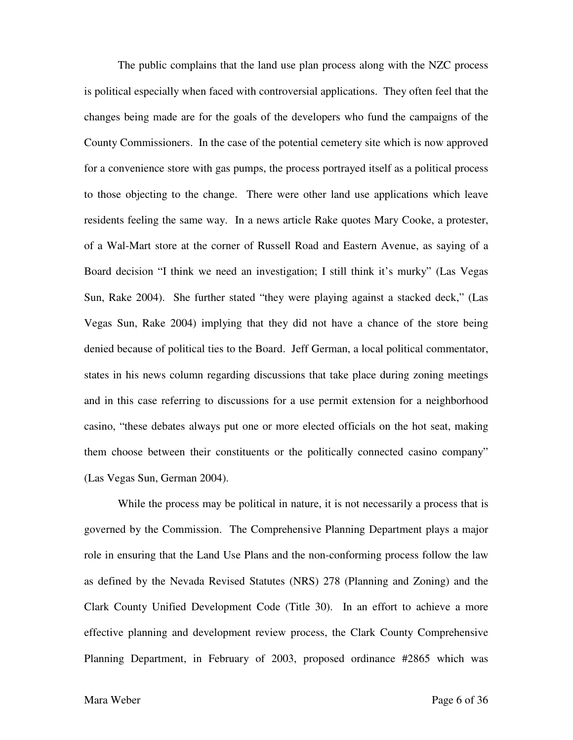The public complains that the land use plan process along with the NZC process is political especially when faced with controversial applications. They often feel that the changes being made are for the goals of the developers who fund the campaigns of the County Commissioners. In the case of the potential cemetery site which is now approved for a convenience store with gas pumps, the process portrayed itself as a political process to those objecting to the change. There were other land use applications which leave residents feeling the same way. In a news article Rake quotes Mary Cooke, a protester, of a Wal-Mart store at the corner of Russell Road and Eastern Avenue, as saying of a Board decision "I think we need an investigation; I still think it's murky" (Las Vegas Sun, Rake 2004). She further stated "they were playing against a stacked deck," (Las Vegas Sun, Rake 2004) implying that they did not have a chance of the store being denied because of political ties to the Board. Jeff German, a local political commentator, states in his news column regarding discussions that take place during zoning meetings and in this case referring to discussions for a use permit extension for a neighborhood casino, "these debates always put one or more elected officials on the hot seat, making them choose between their constituents or the politically connected casino company" (Las Vegas Sun, German 2004).

 While the process may be political in nature, it is not necessarily a process that is governed by the Commission. The Comprehensive Planning Department plays a major role in ensuring that the Land Use Plans and the non-conforming process follow the law as defined by the Nevada Revised Statutes (NRS) 278 (Planning and Zoning) and the Clark County Unified Development Code (Title 30). In an effort to achieve a more effective planning and development review process, the Clark County Comprehensive Planning Department, in February of 2003, proposed ordinance #2865 which was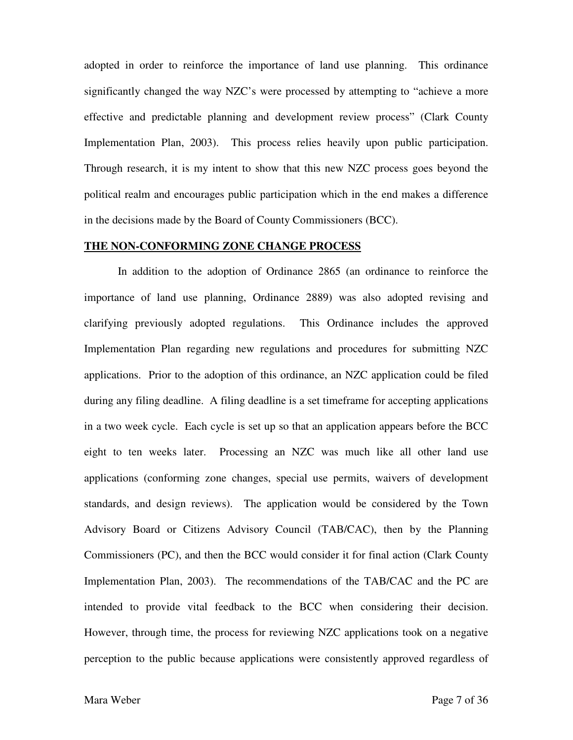adopted in order to reinforce the importance of land use planning. This ordinance significantly changed the way NZC's were processed by attempting to "achieve a more effective and predictable planning and development review process" (Clark County Implementation Plan, 2003). This process relies heavily upon public participation. Through research, it is my intent to show that this new NZC process goes beyond the political realm and encourages public participation which in the end makes a difference in the decisions made by the Board of County Commissioners (BCC).

#### **THE NON-CONFORMING ZONE CHANGE PROCESS**

 In addition to the adoption of Ordinance 2865 (an ordinance to reinforce the importance of land use planning, Ordinance 2889) was also adopted revising and clarifying previously adopted regulations. This Ordinance includes the approved Implementation Plan regarding new regulations and procedures for submitting NZC applications. Prior to the adoption of this ordinance, an NZC application could be filed during any filing deadline. A filing deadline is a set timeframe for accepting applications in a two week cycle. Each cycle is set up so that an application appears before the BCC eight to ten weeks later. Processing an NZC was much like all other land use applications (conforming zone changes, special use permits, waivers of development standards, and design reviews). The application would be considered by the Town Advisory Board or Citizens Advisory Council (TAB/CAC), then by the Planning Commissioners (PC), and then the BCC would consider it for final action (Clark County Implementation Plan, 2003). The recommendations of the TAB/CAC and the PC are intended to provide vital feedback to the BCC when considering their decision. However, through time, the process for reviewing NZC applications took on a negative perception to the public because applications were consistently approved regardless of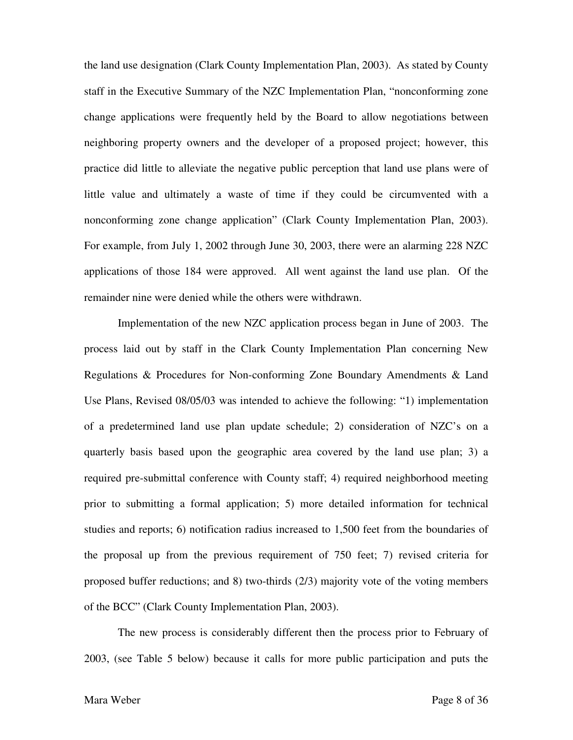the land use designation (Clark County Implementation Plan, 2003). As stated by County staff in the Executive Summary of the NZC Implementation Plan, "nonconforming zone change applications were frequently held by the Board to allow negotiations between neighboring property owners and the developer of a proposed project; however, this practice did little to alleviate the negative public perception that land use plans were of little value and ultimately a waste of time if they could be circumvented with a nonconforming zone change application" (Clark County Implementation Plan, 2003). For example, from July 1, 2002 through June 30, 2003, there were an alarming 228 NZC applications of those 184 were approved. All went against the land use plan. Of the remainder nine were denied while the others were withdrawn.

 Implementation of the new NZC application process began in June of 2003. The process laid out by staff in the Clark County Implementation Plan concerning New Regulations & Procedures for Non-conforming Zone Boundary Amendments & Land Use Plans, Revised 08/05/03 was intended to achieve the following: "1) implementation of a predetermined land use plan update schedule; 2) consideration of NZC's on a quarterly basis based upon the geographic area covered by the land use plan; 3) a required pre-submittal conference with County staff; 4) required neighborhood meeting prior to submitting a formal application; 5) more detailed information for technical studies and reports; 6) notification radius increased to 1,500 feet from the boundaries of the proposal up from the previous requirement of 750 feet; 7) revised criteria for proposed buffer reductions; and 8) two-thirds (2/3) majority vote of the voting members of the BCC" (Clark County Implementation Plan, 2003).

 The new process is considerably different then the process prior to February of 2003, (see Table 5 below) because it calls for more public participation and puts the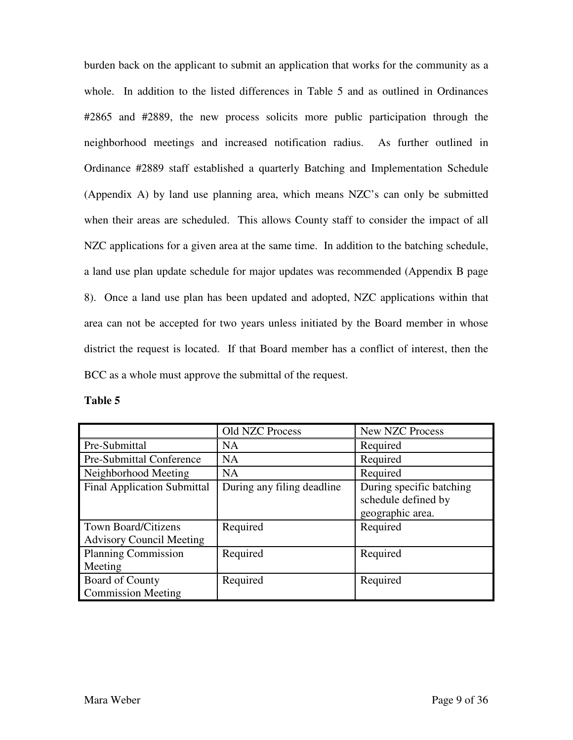burden back on the applicant to submit an application that works for the community as a whole. In addition to the listed differences in Table 5 and as outlined in Ordinances #2865 and #2889, the new process solicits more public participation through the neighborhood meetings and increased notification radius. As further outlined in Ordinance #2889 staff established a quarterly Batching and Implementation Schedule (Appendix A) by land use planning area, which means NZC's can only be submitted when their areas are scheduled. This allows County staff to consider the impact of all NZC applications for a given area at the same time. In addition to the batching schedule, a land use plan update schedule for major updates was recommended (Appendix B page 8). Once a land use plan has been updated and adopted, NZC applications within that area can not be accepted for two years unless initiated by the Board member in whose district the request is located. If that Board member has a conflict of interest, then the BCC as a whole must approve the submittal of the request.

|                                                               | Old NZC Process            | New NZC Process                                                     |
|---------------------------------------------------------------|----------------------------|---------------------------------------------------------------------|
| Pre-Submittal                                                 | <b>NA</b>                  | Required                                                            |
| <b>Pre-Submittal Conference</b>                               | <b>NA</b>                  | Required                                                            |
| Neighborhood Meeting                                          | <b>NA</b>                  | Required                                                            |
| <b>Final Application Submittal</b>                            | During any filing deadline | During specific batching<br>schedule defined by<br>geographic area. |
| <b>Town Board/Citizens</b><br><b>Advisory Council Meeting</b> | Required                   | Required                                                            |
| <b>Planning Commission</b><br>Meeting                         | Required                   | Required                                                            |
| Board of County<br><b>Commission Meeting</b>                  | Required                   | Required                                                            |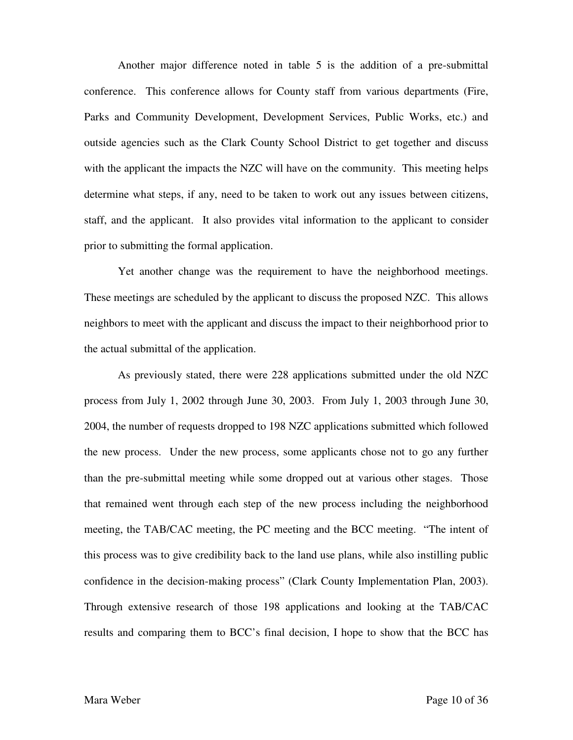Another major difference noted in table 5 is the addition of a pre-submittal conference. This conference allows for County staff from various departments (Fire, Parks and Community Development, Development Services, Public Works, etc.) and outside agencies such as the Clark County School District to get together and discuss with the applicant the impacts the NZC will have on the community. This meeting helps determine what steps, if any, need to be taken to work out any issues between citizens, staff, and the applicant. It also provides vital information to the applicant to consider prior to submitting the formal application.

 Yet another change was the requirement to have the neighborhood meetings. These meetings are scheduled by the applicant to discuss the proposed NZC. This allows neighbors to meet with the applicant and discuss the impact to their neighborhood prior to the actual submittal of the application.

 As previously stated, there were 228 applications submitted under the old NZC process from July 1, 2002 through June 30, 2003. From July 1, 2003 through June 30, 2004, the number of requests dropped to 198 NZC applications submitted which followed the new process. Under the new process, some applicants chose not to go any further than the pre-submittal meeting while some dropped out at various other stages. Those that remained went through each step of the new process including the neighborhood meeting, the TAB/CAC meeting, the PC meeting and the BCC meeting. "The intent of this process was to give credibility back to the land use plans, while also instilling public confidence in the decision-making process" (Clark County Implementation Plan, 2003). Through extensive research of those 198 applications and looking at the TAB/CAC results and comparing them to BCC's final decision, I hope to show that the BCC has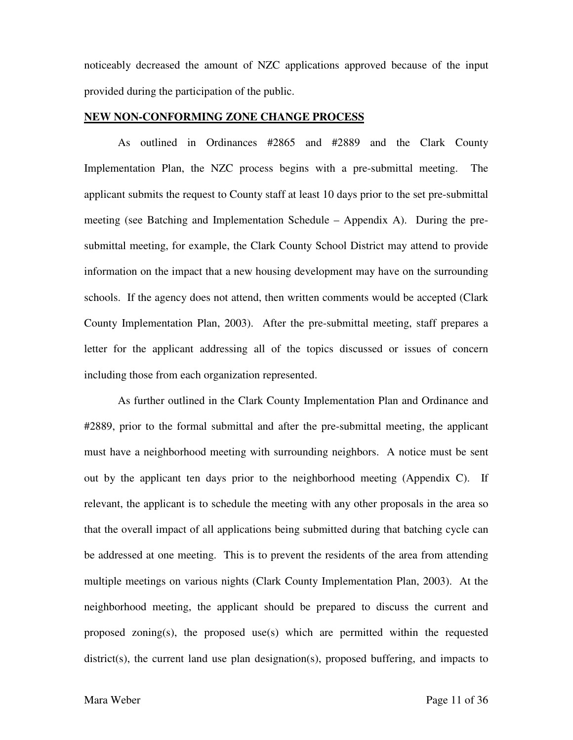noticeably decreased the amount of NZC applications approved because of the input provided during the participation of the public.

#### **NEW NON-CONFORMING ZONE CHANGE PROCESS**

 As outlined in Ordinances #2865 and #2889 and the Clark County Implementation Plan, the NZC process begins with a pre-submittal meeting. The applicant submits the request to County staff at least 10 days prior to the set pre-submittal meeting (see Batching and Implementation Schedule – Appendix A). During the presubmittal meeting, for example, the Clark County School District may attend to provide information on the impact that a new housing development may have on the surrounding schools. If the agency does not attend, then written comments would be accepted (Clark County Implementation Plan, 2003). After the pre-submittal meeting, staff prepares a letter for the applicant addressing all of the topics discussed or issues of concern including those from each organization represented.

 As further outlined in the Clark County Implementation Plan and Ordinance and #2889, prior to the formal submittal and after the pre-submittal meeting, the applicant must have a neighborhood meeting with surrounding neighbors. A notice must be sent out by the applicant ten days prior to the neighborhood meeting (Appendix C). If relevant, the applicant is to schedule the meeting with any other proposals in the area so that the overall impact of all applications being submitted during that batching cycle can be addressed at one meeting. This is to prevent the residents of the area from attending multiple meetings on various nights (Clark County Implementation Plan, 2003). At the neighborhood meeting, the applicant should be prepared to discuss the current and proposed zoning(s), the proposed use(s) which are permitted within the requested  $distinct(s)$ , the current land use plan designation(s), proposed buffering, and impacts to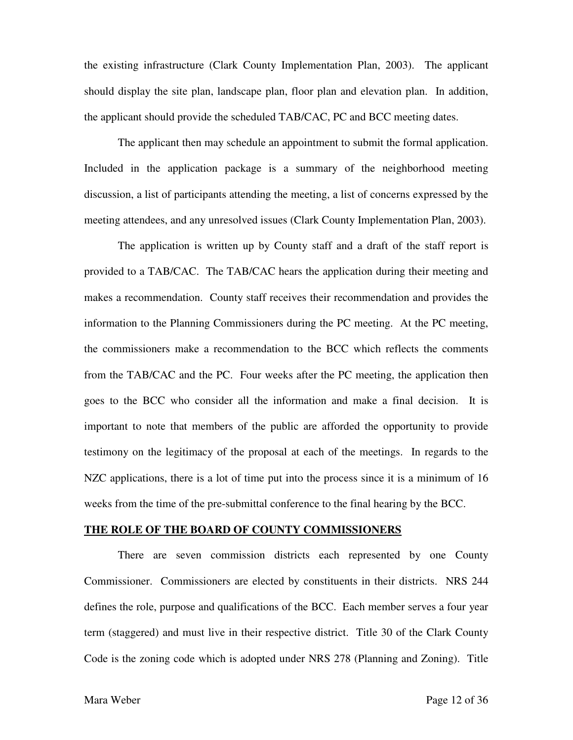the existing infrastructure (Clark County Implementation Plan, 2003). The applicant should display the site plan, landscape plan, floor plan and elevation plan. In addition, the applicant should provide the scheduled TAB/CAC, PC and BCC meeting dates.

 The applicant then may schedule an appointment to submit the formal application. Included in the application package is a summary of the neighborhood meeting discussion, a list of participants attending the meeting, a list of concerns expressed by the meeting attendees, and any unresolved issues (Clark County Implementation Plan, 2003).

 The application is written up by County staff and a draft of the staff report is provided to a TAB/CAC. The TAB/CAC hears the application during their meeting and makes a recommendation. County staff receives their recommendation and provides the information to the Planning Commissioners during the PC meeting. At the PC meeting, the commissioners make a recommendation to the BCC which reflects the comments from the TAB/CAC and the PC. Four weeks after the PC meeting, the application then goes to the BCC who consider all the information and make a final decision. It is important to note that members of the public are afforded the opportunity to provide testimony on the legitimacy of the proposal at each of the meetings. In regards to the NZC applications, there is a lot of time put into the process since it is a minimum of 16 weeks from the time of the pre-submittal conference to the final hearing by the BCC.

#### **THE ROLE OF THE BOARD OF COUNTY COMMISSIONERS**

 There are seven commission districts each represented by one County Commissioner. Commissioners are elected by constituents in their districts. NRS 244 defines the role, purpose and qualifications of the BCC. Each member serves a four year term (staggered) and must live in their respective district. Title 30 of the Clark County Code is the zoning code which is adopted under NRS 278 (Planning and Zoning). Title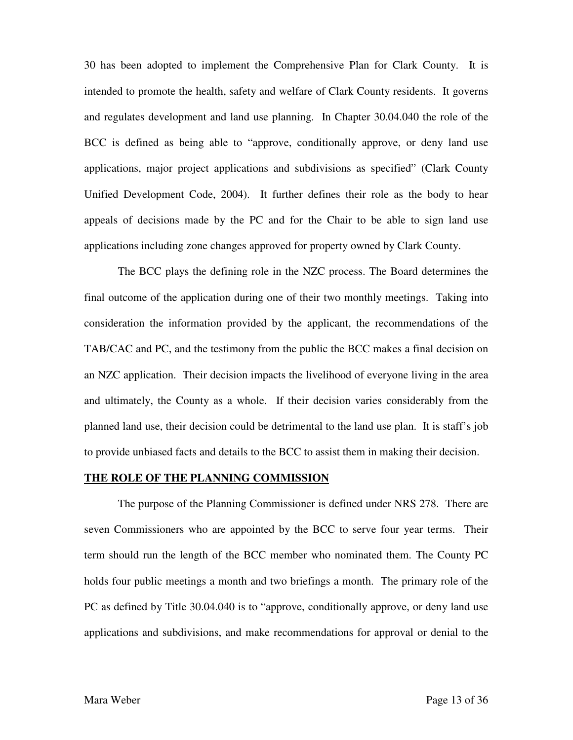30 has been adopted to implement the Comprehensive Plan for Clark County. It is intended to promote the health, safety and welfare of Clark County residents. It governs and regulates development and land use planning. In Chapter 30.04.040 the role of the BCC is defined as being able to "approve, conditionally approve, or deny land use applications, major project applications and subdivisions as specified" (Clark County Unified Development Code, 2004). It further defines their role as the body to hear appeals of decisions made by the PC and for the Chair to be able to sign land use applications including zone changes approved for property owned by Clark County.

 The BCC plays the defining role in the NZC process. The Board determines the final outcome of the application during one of their two monthly meetings. Taking into consideration the information provided by the applicant, the recommendations of the TAB/CAC and PC, and the testimony from the public the BCC makes a final decision on an NZC application. Their decision impacts the livelihood of everyone living in the area and ultimately, the County as a whole. If their decision varies considerably from the planned land use, their decision could be detrimental to the land use plan. It is staff's job to provide unbiased facts and details to the BCC to assist them in making their decision.

#### **THE ROLE OF THE PLANNING COMMISSION**

 The purpose of the Planning Commissioner is defined under NRS 278. There are seven Commissioners who are appointed by the BCC to serve four year terms. Their term should run the length of the BCC member who nominated them. The County PC holds four public meetings a month and two briefings a month. The primary role of the PC as defined by Title 30.04.040 is to "approve, conditionally approve, or deny land use applications and subdivisions, and make recommendations for approval or denial to the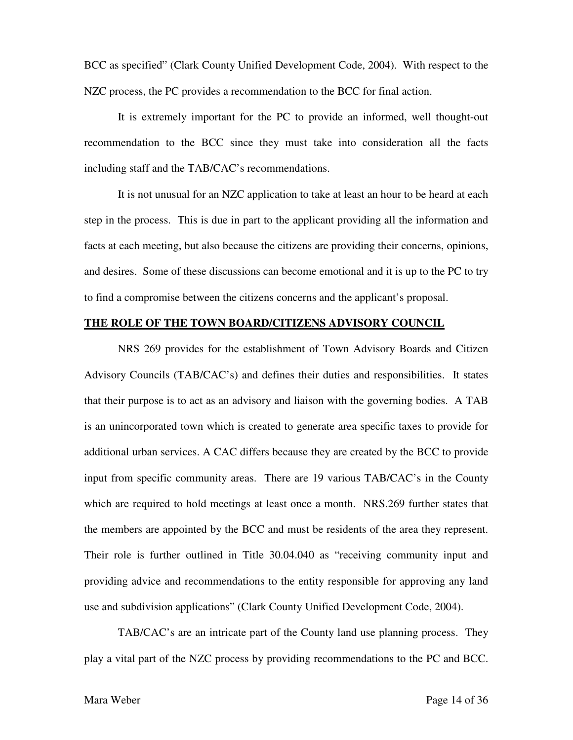BCC as specified" (Clark County Unified Development Code, 2004). With respect to the NZC process, the PC provides a recommendation to the BCC for final action.

 It is extremely important for the PC to provide an informed, well thought-out recommendation to the BCC since they must take into consideration all the facts including staff and the TAB/CAC's recommendations.

 It is not unusual for an NZC application to take at least an hour to be heard at each step in the process. This is due in part to the applicant providing all the information and facts at each meeting, but also because the citizens are providing their concerns, opinions, and desires. Some of these discussions can become emotional and it is up to the PC to try to find a compromise between the citizens concerns and the applicant's proposal.

# **THE ROLE OF THE TOWN BOARD/CITIZENS ADVISORY COUNCIL**

 NRS 269 provides for the establishment of Town Advisory Boards and Citizen Advisory Councils (TAB/CAC's) and defines their duties and responsibilities. It states that their purpose is to act as an advisory and liaison with the governing bodies. A TAB is an unincorporated town which is created to generate area specific taxes to provide for additional urban services. A CAC differs because they are created by the BCC to provide input from specific community areas. There are 19 various TAB/CAC's in the County which are required to hold meetings at least once a month. NRS.269 further states that the members are appointed by the BCC and must be residents of the area they represent. Their role is further outlined in Title 30.04.040 as "receiving community input and providing advice and recommendations to the entity responsible for approving any land use and subdivision applications" (Clark County Unified Development Code, 2004).

 TAB/CAC's are an intricate part of the County land use planning process. They play a vital part of the NZC process by providing recommendations to the PC and BCC.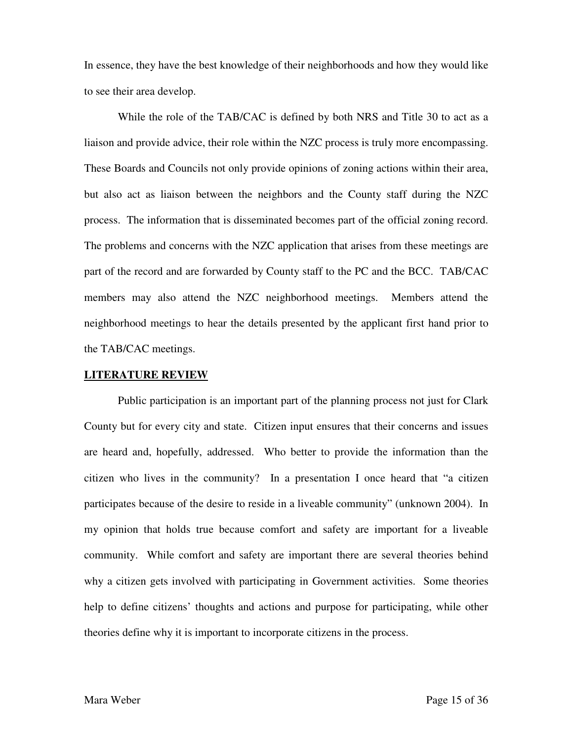In essence, they have the best knowledge of their neighborhoods and how they would like to see their area develop.

 While the role of the TAB/CAC is defined by both NRS and Title 30 to act as a liaison and provide advice, their role within the NZC process is truly more encompassing. These Boards and Councils not only provide opinions of zoning actions within their area, but also act as liaison between the neighbors and the County staff during the NZC process. The information that is disseminated becomes part of the official zoning record. The problems and concerns with the NZC application that arises from these meetings are part of the record and are forwarded by County staff to the PC and the BCC. TAB/CAC members may also attend the NZC neighborhood meetings. Members attend the neighborhood meetings to hear the details presented by the applicant first hand prior to the TAB/CAC meetings.

#### **LITERATURE REVIEW**

 Public participation is an important part of the planning process not just for Clark County but for every city and state. Citizen input ensures that their concerns and issues are heard and, hopefully, addressed. Who better to provide the information than the citizen who lives in the community? In a presentation I once heard that "a citizen participates because of the desire to reside in a liveable community" (unknown 2004). In my opinion that holds true because comfort and safety are important for a liveable community. While comfort and safety are important there are several theories behind why a citizen gets involved with participating in Government activities. Some theories help to define citizens' thoughts and actions and purpose for participating, while other theories define why it is important to incorporate citizens in the process.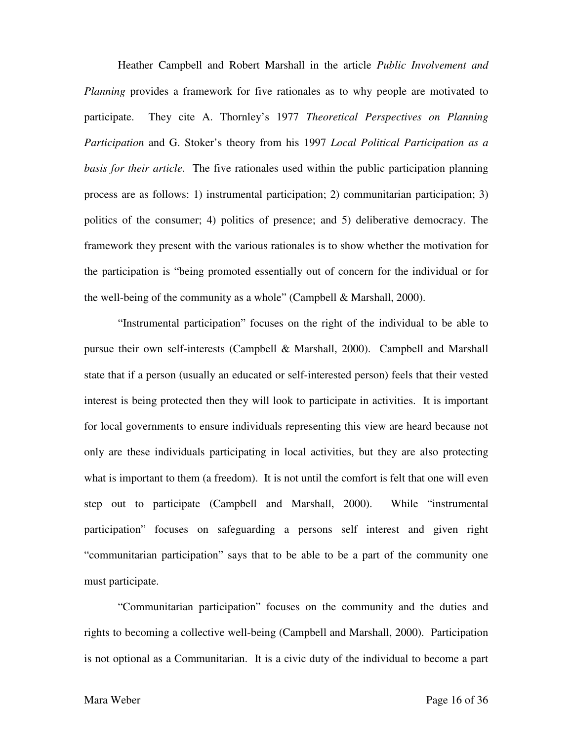Heather Campbell and Robert Marshall in the article *Public Involvement and Planning* provides a framework for five rationales as to why people are motivated to participate. They cite A. Thornley's 1977 *Theoretical Perspectives on Planning Participation* and G. Stoker's theory from his 1997 *Local Political Participation as a basis for their article*. The five rationales used within the public participation planning process are as follows: 1) instrumental participation; 2) communitarian participation; 3) politics of the consumer; 4) politics of presence; and 5) deliberative democracy. The framework they present with the various rationales is to show whether the motivation for the participation is "being promoted essentially out of concern for the individual or for the well-being of the community as a whole" (Campbell & Marshall, 2000).

 "Instrumental participation" focuses on the right of the individual to be able to pursue their own self-interests (Campbell & Marshall, 2000). Campbell and Marshall state that if a person (usually an educated or self-interested person) feels that their vested interest is being protected then they will look to participate in activities. It is important for local governments to ensure individuals representing this view are heard because not only are these individuals participating in local activities, but they are also protecting what is important to them (a freedom). It is not until the comfort is felt that one will even step out to participate (Campbell and Marshall, 2000). While "instrumental participation" focuses on safeguarding a persons self interest and given right "communitarian participation" says that to be able to be a part of the community one must participate.

 "Communitarian participation" focuses on the community and the duties and rights to becoming a collective well-being (Campbell and Marshall, 2000). Participation is not optional as a Communitarian. It is a civic duty of the individual to become a part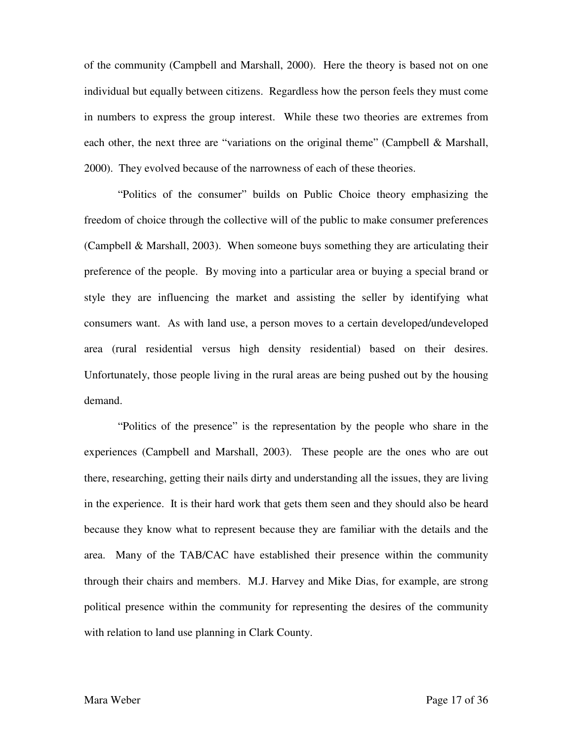of the community (Campbell and Marshall, 2000). Here the theory is based not on one individual but equally between citizens. Regardless how the person feels they must come in numbers to express the group interest. While these two theories are extremes from each other, the next three are "variations on the original theme" (Campbell & Marshall, 2000). They evolved because of the narrowness of each of these theories.

 "Politics of the consumer" builds on Public Choice theory emphasizing the freedom of choice through the collective will of the public to make consumer preferences (Campbell & Marshall, 2003). When someone buys something they are articulating their preference of the people. By moving into a particular area or buying a special brand or style they are influencing the market and assisting the seller by identifying what consumers want. As with land use, a person moves to a certain developed/undeveloped area (rural residential versus high density residential) based on their desires. Unfortunately, those people living in the rural areas are being pushed out by the housing demand.

 "Politics of the presence" is the representation by the people who share in the experiences (Campbell and Marshall, 2003). These people are the ones who are out there, researching, getting their nails dirty and understanding all the issues, they are living in the experience. It is their hard work that gets them seen and they should also be heard because they know what to represent because they are familiar with the details and the area. Many of the TAB/CAC have established their presence within the community through their chairs and members. M.J. Harvey and Mike Dias, for example, are strong political presence within the community for representing the desires of the community with relation to land use planning in Clark County.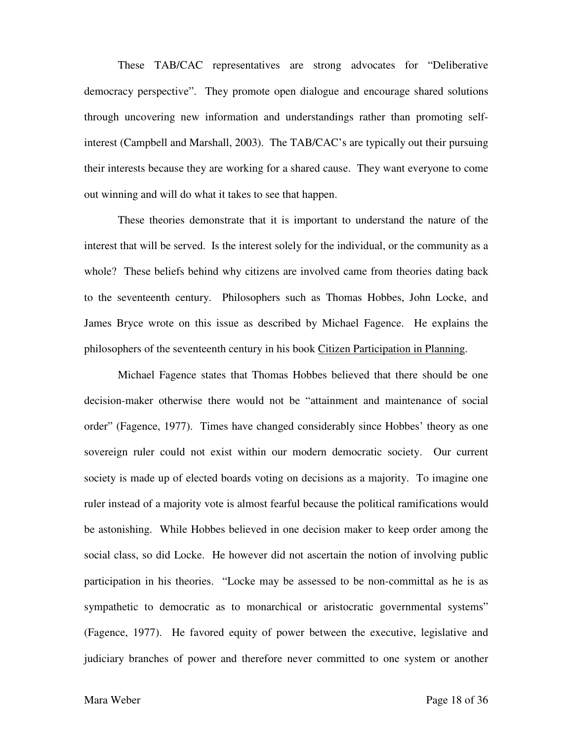These TAB/CAC representatives are strong advocates for "Deliberative democracy perspective". They promote open dialogue and encourage shared solutions through uncovering new information and understandings rather than promoting selfinterest (Campbell and Marshall, 2003). The TAB/CAC's are typically out their pursuing their interests because they are working for a shared cause. They want everyone to come out winning and will do what it takes to see that happen.

 These theories demonstrate that it is important to understand the nature of the interest that will be served. Is the interest solely for the individual, or the community as a whole? These beliefs behind why citizens are involved came from theories dating back to the seventeenth century. Philosophers such as Thomas Hobbes, John Locke, and James Bryce wrote on this issue as described by Michael Fagence. He explains the philosophers of the seventeenth century in his book Citizen Participation in Planning.

 Michael Fagence states that Thomas Hobbes believed that there should be one decision-maker otherwise there would not be "attainment and maintenance of social order" (Fagence, 1977). Times have changed considerably since Hobbes' theory as one sovereign ruler could not exist within our modern democratic society. Our current society is made up of elected boards voting on decisions as a majority. To imagine one ruler instead of a majority vote is almost fearful because the political ramifications would be astonishing. While Hobbes believed in one decision maker to keep order among the social class, so did Locke. He however did not ascertain the notion of involving public participation in his theories. "Locke may be assessed to be non-committal as he is as sympathetic to democratic as to monarchical or aristocratic governmental systems" (Fagence, 1977). He favored equity of power between the executive, legislative and judiciary branches of power and therefore never committed to one system or another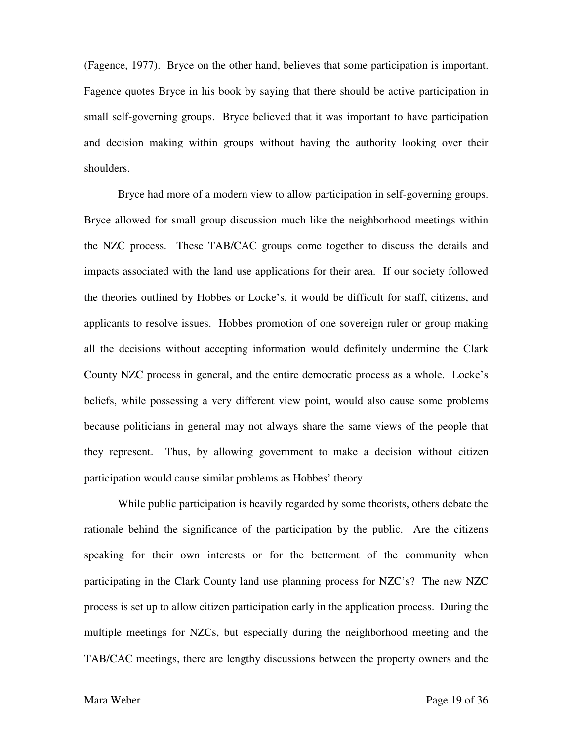(Fagence, 1977). Bryce on the other hand, believes that some participation is important. Fagence quotes Bryce in his book by saying that there should be active participation in small self-governing groups. Bryce believed that it was important to have participation and decision making within groups without having the authority looking over their shoulders.

 Bryce had more of a modern view to allow participation in self-governing groups. Bryce allowed for small group discussion much like the neighborhood meetings within the NZC process. These TAB/CAC groups come together to discuss the details and impacts associated with the land use applications for their area. If our society followed the theories outlined by Hobbes or Locke's, it would be difficult for staff, citizens, and applicants to resolve issues. Hobbes promotion of one sovereign ruler or group making all the decisions without accepting information would definitely undermine the Clark County NZC process in general, and the entire democratic process as a whole. Locke's beliefs, while possessing a very different view point, would also cause some problems because politicians in general may not always share the same views of the people that they represent. Thus, by allowing government to make a decision without citizen participation would cause similar problems as Hobbes' theory.

 While public participation is heavily regarded by some theorists, others debate the rationale behind the significance of the participation by the public. Are the citizens speaking for their own interests or for the betterment of the community when participating in the Clark County land use planning process for NZC's? The new NZC process is set up to allow citizen participation early in the application process. During the multiple meetings for NZCs, but especially during the neighborhood meeting and the TAB/CAC meetings, there are lengthy discussions between the property owners and the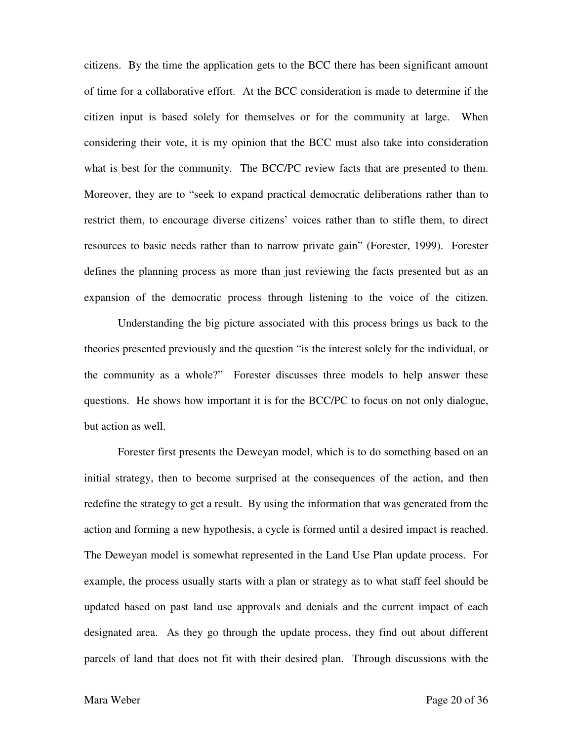citizens. By the time the application gets to the BCC there has been significant amount of time for a collaborative effort. At the BCC consideration is made to determine if the citizen input is based solely for themselves or for the community at large. When considering their vote, it is my opinion that the BCC must also take into consideration what is best for the community. The BCC/PC review facts that are presented to them. Moreover, they are to "seek to expand practical democratic deliberations rather than to restrict them, to encourage diverse citizens' voices rather than to stifle them, to direct resources to basic needs rather than to narrow private gain" (Forester, 1999). Forester defines the planning process as more than just reviewing the facts presented but as an expansion of the democratic process through listening to the voice of the citizen.

 Understanding the big picture associated with this process brings us back to the theories presented previously and the question "is the interest solely for the individual, or the community as a whole?" Forester discusses three models to help answer these questions. He shows how important it is for the BCC/PC to focus on not only dialogue, but action as well.

 Forester first presents the Deweyan model, which is to do something based on an initial strategy, then to become surprised at the consequences of the action, and then redefine the strategy to get a result. By using the information that was generated from the action and forming a new hypothesis, a cycle is formed until a desired impact is reached. The Deweyan model is somewhat represented in the Land Use Plan update process. For example, the process usually starts with a plan or strategy as to what staff feel should be updated based on past land use approvals and denials and the current impact of each designated area. As they go through the update process, they find out about different parcels of land that does not fit with their desired plan. Through discussions with the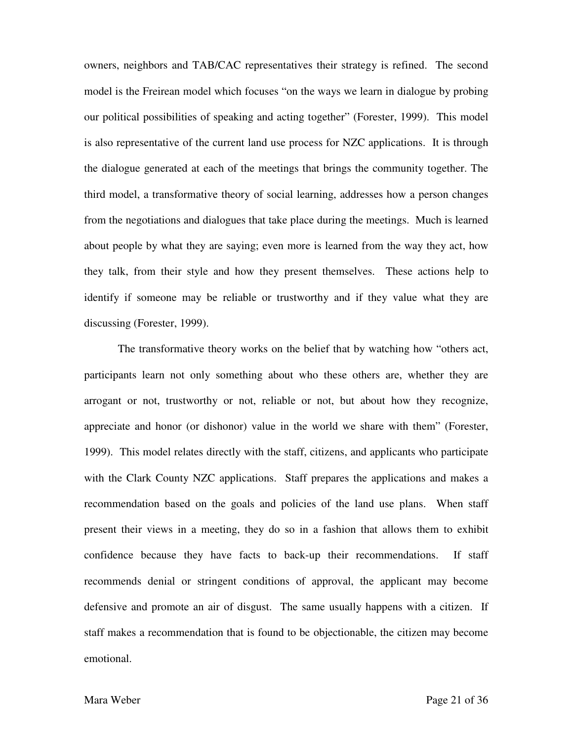owners, neighbors and TAB/CAC representatives their strategy is refined. The second model is the Freirean model which focuses "on the ways we learn in dialogue by probing our political possibilities of speaking and acting together" (Forester, 1999). This model is also representative of the current land use process for NZC applications. It is through the dialogue generated at each of the meetings that brings the community together. The third model, a transformative theory of social learning, addresses how a person changes from the negotiations and dialogues that take place during the meetings. Much is learned about people by what they are saying; even more is learned from the way they act, how they talk, from their style and how they present themselves. These actions help to identify if someone may be reliable or trustworthy and if they value what they are discussing (Forester, 1999).

 The transformative theory works on the belief that by watching how "others act, participants learn not only something about who these others are, whether they are arrogant or not, trustworthy or not, reliable or not, but about how they recognize, appreciate and honor (or dishonor) value in the world we share with them" (Forester, 1999). This model relates directly with the staff, citizens, and applicants who participate with the Clark County NZC applications. Staff prepares the applications and makes a recommendation based on the goals and policies of the land use plans. When staff present their views in a meeting, they do so in a fashion that allows them to exhibit confidence because they have facts to back-up their recommendations. If staff recommends denial or stringent conditions of approval, the applicant may become defensive and promote an air of disgust. The same usually happens with a citizen. If staff makes a recommendation that is found to be objectionable, the citizen may become emotional.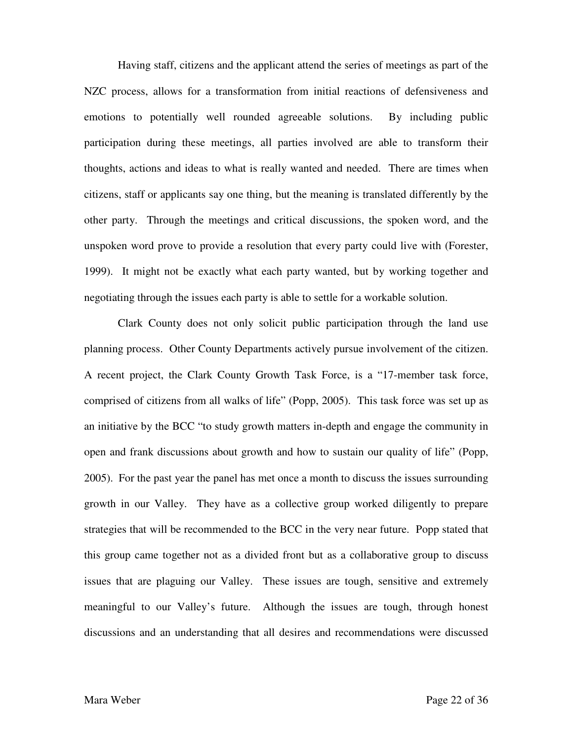Having staff, citizens and the applicant attend the series of meetings as part of the NZC process, allows for a transformation from initial reactions of defensiveness and emotions to potentially well rounded agreeable solutions. By including public participation during these meetings, all parties involved are able to transform their thoughts, actions and ideas to what is really wanted and needed. There are times when citizens, staff or applicants say one thing, but the meaning is translated differently by the other party. Through the meetings and critical discussions, the spoken word, and the unspoken word prove to provide a resolution that every party could live with (Forester, 1999). It might not be exactly what each party wanted, but by working together and negotiating through the issues each party is able to settle for a workable solution.

 Clark County does not only solicit public participation through the land use planning process. Other County Departments actively pursue involvement of the citizen. A recent project, the Clark County Growth Task Force, is a "17-member task force, comprised of citizens from all walks of life" (Popp, 2005). This task force was set up as an initiative by the BCC "to study growth matters in-depth and engage the community in open and frank discussions about growth and how to sustain our quality of life" (Popp, 2005). For the past year the panel has met once a month to discuss the issues surrounding growth in our Valley. They have as a collective group worked diligently to prepare strategies that will be recommended to the BCC in the very near future. Popp stated that this group came together not as a divided front but as a collaborative group to discuss issues that are plaguing our Valley. These issues are tough, sensitive and extremely meaningful to our Valley's future. Although the issues are tough, through honest discussions and an understanding that all desires and recommendations were discussed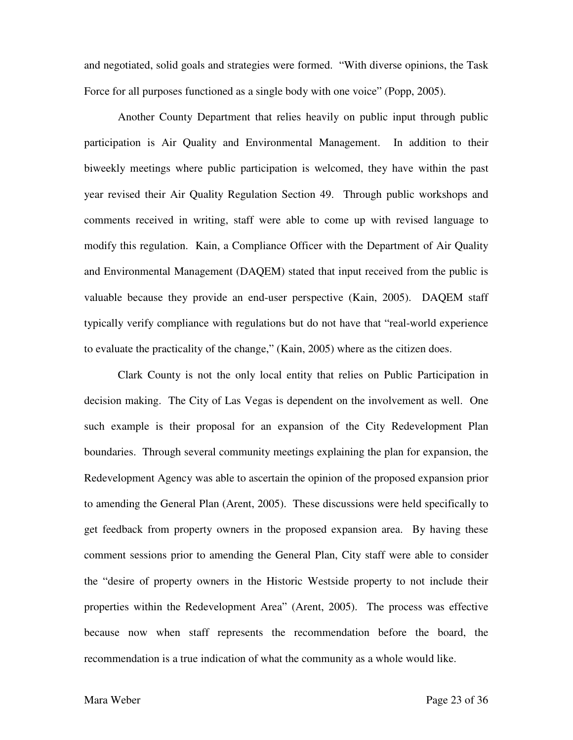and negotiated, solid goals and strategies were formed. "With diverse opinions, the Task Force for all purposes functioned as a single body with one voice" (Popp, 2005).

 Another County Department that relies heavily on public input through public participation is Air Quality and Environmental Management. In addition to their biweekly meetings where public participation is welcomed, they have within the past year revised their Air Quality Regulation Section 49. Through public workshops and comments received in writing, staff were able to come up with revised language to modify this regulation. Kain, a Compliance Officer with the Department of Air Quality and Environmental Management (DAQEM) stated that input received from the public is valuable because they provide an end-user perspective (Kain, 2005). DAQEM staff typically verify compliance with regulations but do not have that "real-world experience to evaluate the practicality of the change," (Kain, 2005) where as the citizen does.

 Clark County is not the only local entity that relies on Public Participation in decision making. The City of Las Vegas is dependent on the involvement as well. One such example is their proposal for an expansion of the City Redevelopment Plan boundaries. Through several community meetings explaining the plan for expansion, the Redevelopment Agency was able to ascertain the opinion of the proposed expansion prior to amending the General Plan (Arent, 2005). These discussions were held specifically to get feedback from property owners in the proposed expansion area. By having these comment sessions prior to amending the General Plan, City staff were able to consider the "desire of property owners in the Historic Westside property to not include their properties within the Redevelopment Area" (Arent, 2005). The process was effective because now when staff represents the recommendation before the board, the recommendation is a true indication of what the community as a whole would like.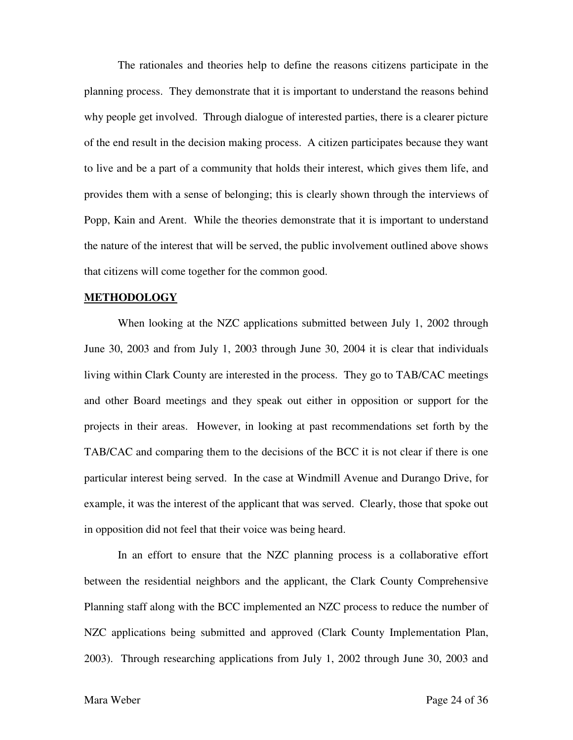The rationales and theories help to define the reasons citizens participate in the planning process. They demonstrate that it is important to understand the reasons behind why people get involved. Through dialogue of interested parties, there is a clearer picture of the end result in the decision making process. A citizen participates because they want to live and be a part of a community that holds their interest, which gives them life, and provides them with a sense of belonging; this is clearly shown through the interviews of Popp, Kain and Arent. While the theories demonstrate that it is important to understand the nature of the interest that will be served, the public involvement outlined above shows that citizens will come together for the common good.

#### **METHODOLOGY**

When looking at the NZC applications submitted between July 1, 2002 through June 30, 2003 and from July 1, 2003 through June 30, 2004 it is clear that individuals living within Clark County are interested in the process. They go to TAB/CAC meetings and other Board meetings and they speak out either in opposition or support for the projects in their areas. However, in looking at past recommendations set forth by the TAB/CAC and comparing them to the decisions of the BCC it is not clear if there is one particular interest being served. In the case at Windmill Avenue and Durango Drive, for example, it was the interest of the applicant that was served. Clearly, those that spoke out in opposition did not feel that their voice was being heard.

 In an effort to ensure that the NZC planning process is a collaborative effort between the residential neighbors and the applicant, the Clark County Comprehensive Planning staff along with the BCC implemented an NZC process to reduce the number of NZC applications being submitted and approved (Clark County Implementation Plan, 2003). Through researching applications from July 1, 2002 through June 30, 2003 and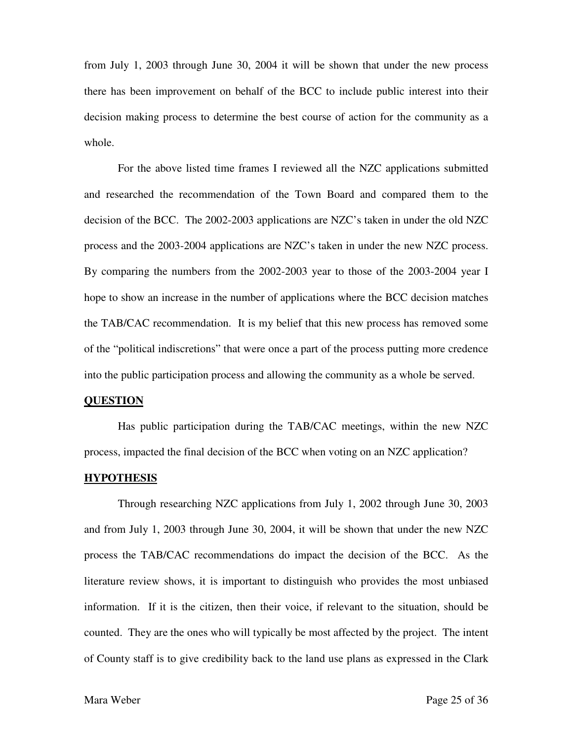from July 1, 2003 through June 30, 2004 it will be shown that under the new process there has been improvement on behalf of the BCC to include public interest into their decision making process to determine the best course of action for the community as a whole.

 For the above listed time frames I reviewed all the NZC applications submitted and researched the recommendation of the Town Board and compared them to the decision of the BCC. The 2002-2003 applications are NZC's taken in under the old NZC process and the 2003-2004 applications are NZC's taken in under the new NZC process. By comparing the numbers from the 2002-2003 year to those of the 2003-2004 year I hope to show an increase in the number of applications where the BCC decision matches the TAB/CAC recommendation. It is my belief that this new process has removed some of the "political indiscretions" that were once a part of the process putting more credence into the public participation process and allowing the community as a whole be served.

#### **QUESTION**

 Has public participation during the TAB/CAC meetings, within the new NZC process, impacted the final decision of the BCC when voting on an NZC application?

#### **HYPOTHESIS**

 Through researching NZC applications from July 1, 2002 through June 30, 2003 and from July 1, 2003 through June 30, 2004, it will be shown that under the new NZC process the TAB/CAC recommendations do impact the decision of the BCC. As the literature review shows, it is important to distinguish who provides the most unbiased information. If it is the citizen, then their voice, if relevant to the situation, should be counted. They are the ones who will typically be most affected by the project. The intent of County staff is to give credibility back to the land use plans as expressed in the Clark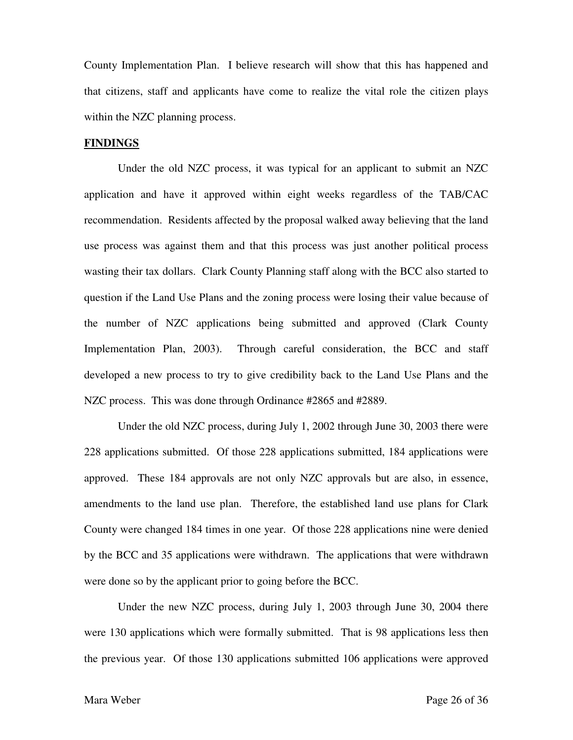County Implementation Plan. I believe research will show that this has happened and that citizens, staff and applicants have come to realize the vital role the citizen plays within the NZC planning process.

#### **FINDINGS**

 Under the old NZC process, it was typical for an applicant to submit an NZC application and have it approved within eight weeks regardless of the TAB/CAC recommendation. Residents affected by the proposal walked away believing that the land use process was against them and that this process was just another political process wasting their tax dollars. Clark County Planning staff along with the BCC also started to question if the Land Use Plans and the zoning process were losing their value because of the number of NZC applications being submitted and approved (Clark County Implementation Plan, 2003). Through careful consideration, the BCC and staff developed a new process to try to give credibility back to the Land Use Plans and the NZC process. This was done through Ordinance #2865 and #2889.

 Under the old NZC process, during July 1, 2002 through June 30, 2003 there were 228 applications submitted. Of those 228 applications submitted, 184 applications were approved. These 184 approvals are not only NZC approvals but are also, in essence, amendments to the land use plan. Therefore, the established land use plans for Clark County were changed 184 times in one year. Of those 228 applications nine were denied by the BCC and 35 applications were withdrawn. The applications that were withdrawn were done so by the applicant prior to going before the BCC.

 Under the new NZC process, during July 1, 2003 through June 30, 2004 there were 130 applications which were formally submitted. That is 98 applications less then the previous year. Of those 130 applications submitted 106 applications were approved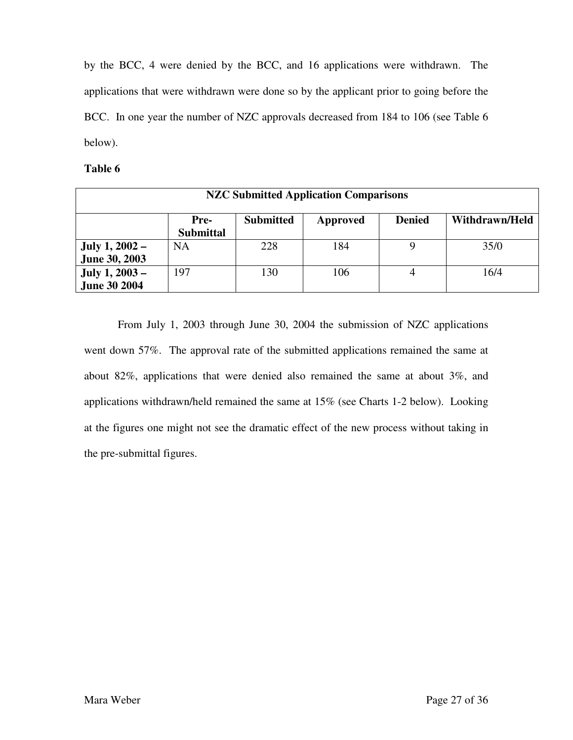by the BCC, 4 were denied by the BCC, and 16 applications were withdrawn. The applications that were withdrawn were done so by the applicant prior to going before the BCC. In one year the number of NZC approvals decreased from 184 to 106 (see Table 6 below).

#### **Table 6**

| <b>NZC Submitted Application Comparisons</b>  |                                                                                             |     |     |  |      |  |  |  |  |
|-----------------------------------------------|---------------------------------------------------------------------------------------------|-----|-----|--|------|--|--|--|--|
|                                               | <b>Submitted</b><br><b>Denied</b><br>Withdrawn/Held<br>Pre-<br>Approved<br><b>Submittal</b> |     |     |  |      |  |  |  |  |
| <b>July 1, 2002 –</b><br><b>June 30, 2003</b> | <b>NA</b>                                                                                   | 228 | 184 |  | 35/0 |  |  |  |  |
| <b>July 1, 2003 –</b><br><b>June 30 2004</b>  | 197                                                                                         | 130 | 106 |  | 16/4 |  |  |  |  |

 From July 1, 2003 through June 30, 2004 the submission of NZC applications went down 57%. The approval rate of the submitted applications remained the same at about 82%, applications that were denied also remained the same at about 3%, and applications withdrawn/held remained the same at 15% (see Charts 1-2 below). Looking at the figures one might not see the dramatic effect of the new process without taking in the pre-submittal figures.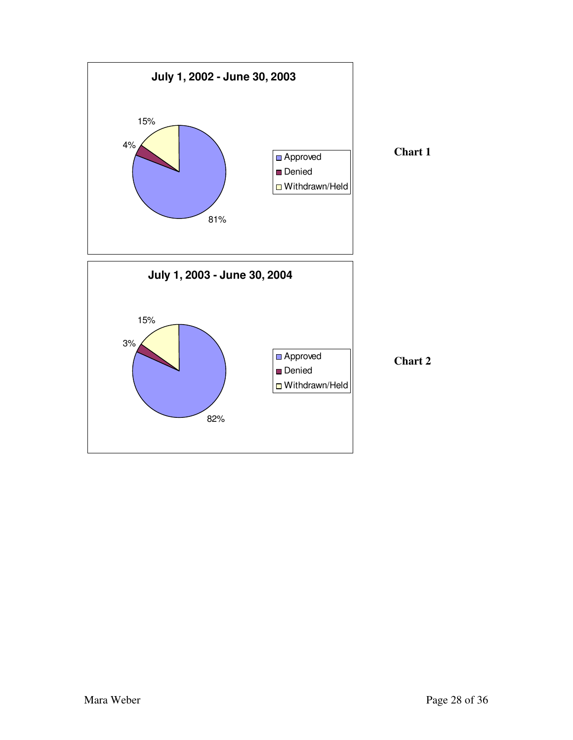

**Chart 2**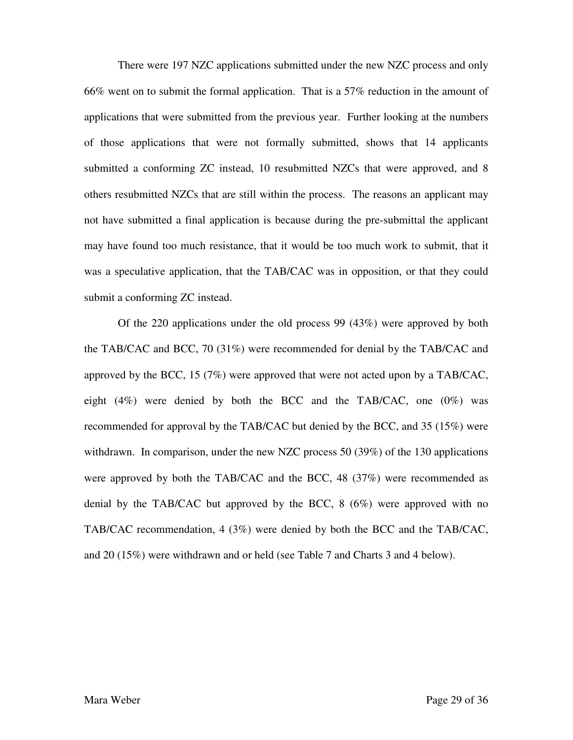There were 197 NZC applications submitted under the new NZC process and only 66% went on to submit the formal application. That is a 57% reduction in the amount of applications that were submitted from the previous year. Further looking at the numbers of those applications that were not formally submitted, shows that 14 applicants submitted a conforming ZC instead, 10 resubmitted NZCs that were approved, and 8 others resubmitted NZCs that are still within the process. The reasons an applicant may not have submitted a final application is because during the pre-submittal the applicant may have found too much resistance, that it would be too much work to submit, that it was a speculative application, that the TAB/CAC was in opposition, or that they could submit a conforming ZC instead.

 Of the 220 applications under the old process 99 (43%) were approved by both the TAB/CAC and BCC, 70 (31%) were recommended for denial by the TAB/CAC and approved by the BCC, 15 (7%) were approved that were not acted upon by a TAB/CAC, eight  $(4\%)$  were denied by both the BCC and the TAB/CAC, one  $(0\%)$  was recommended for approval by the TAB/CAC but denied by the BCC, and 35 (15%) were withdrawn. In comparison, under the new NZC process 50 (39%) of the 130 applications were approved by both the TAB/CAC and the BCC, 48 (37%) were recommended as denial by the TAB/CAC but approved by the BCC, 8 (6%) were approved with no TAB/CAC recommendation, 4 (3%) were denied by both the BCC and the TAB/CAC, and 20 (15%) were withdrawn and or held (see Table 7 and Charts 3 and 4 below).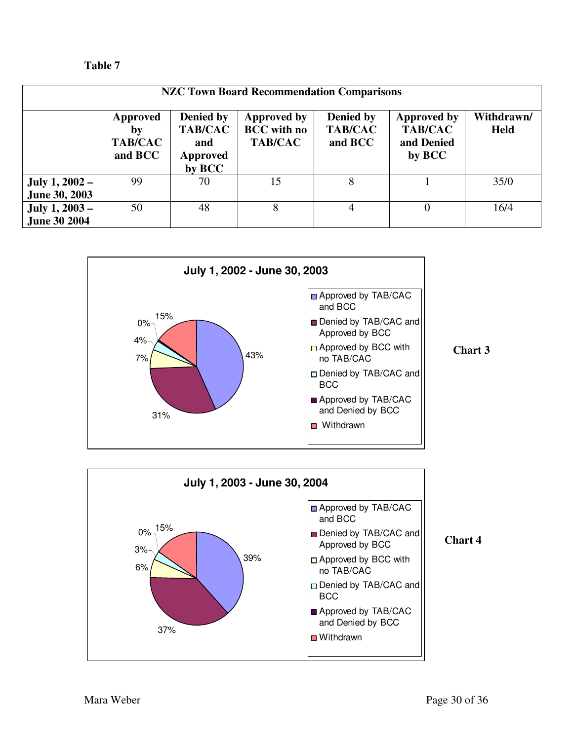| m<br>Ш<br>. п |  |
|---------------|--|
|---------------|--|

| <b>NZC Town Board Recommendation Comparisons</b> |                                             |                                                                        |                                                            |                                        |                                                              |                           |
|--------------------------------------------------|---------------------------------------------|------------------------------------------------------------------------|------------------------------------------------------------|----------------------------------------|--------------------------------------------------------------|---------------------------|
|                                                  | Approved<br>bv<br><b>TAB/CAC</b><br>and BCC | <b>Denied by</b><br><b>TAB/CAC</b><br>and<br><b>Approved</b><br>by BCC | <b>Approved by</b><br><b>BCC</b> with no<br><b>TAB/CAC</b> | Denied by<br><b>TAB/CAC</b><br>and BCC | <b>Approved by</b><br><b>TAB/CAC</b><br>and Denied<br>by BCC | Withdrawn/<br><b>Held</b> |
| July 1, 2002 –<br><b>June 30, 2003</b>           | 99                                          | 70                                                                     | 15                                                         | 8                                      |                                                              | 35/0                      |
| July $1, 2003 -$<br><b>June 30 2004</b>          | 50                                          | 48                                                                     | 8                                                          | 4                                      | $\Omega$                                                     | 16/4                      |



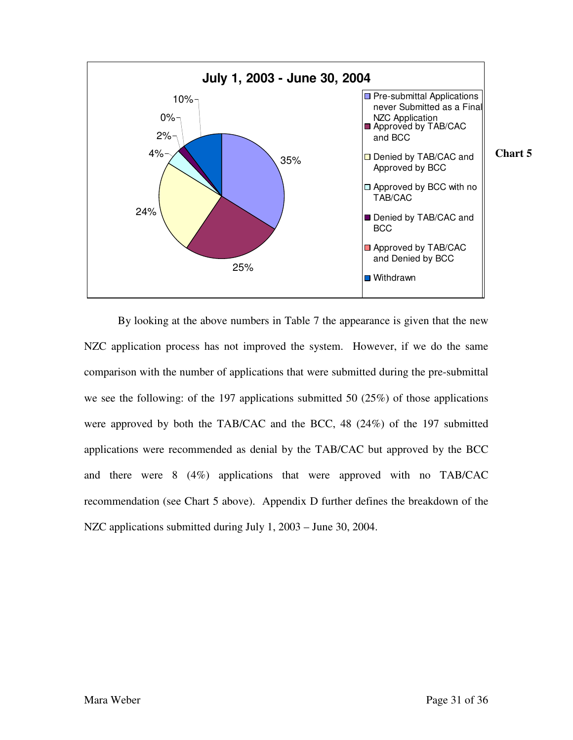

 By looking at the above numbers in Table 7 the appearance is given that the new NZC application process has not improved the system. However, if we do the same comparison with the number of applications that were submitted during the pre-submittal we see the following: of the 197 applications submitted 50 (25%) of those applications were approved by both the TAB/CAC and the BCC, 48 (24%) of the 197 submitted applications were recommended as denial by the TAB/CAC but approved by the BCC and there were 8 (4%) applications that were approved with no TAB/CAC recommendation (see Chart 5 above). Appendix D further defines the breakdown of the NZC applications submitted during July 1, 2003 – June 30, 2004.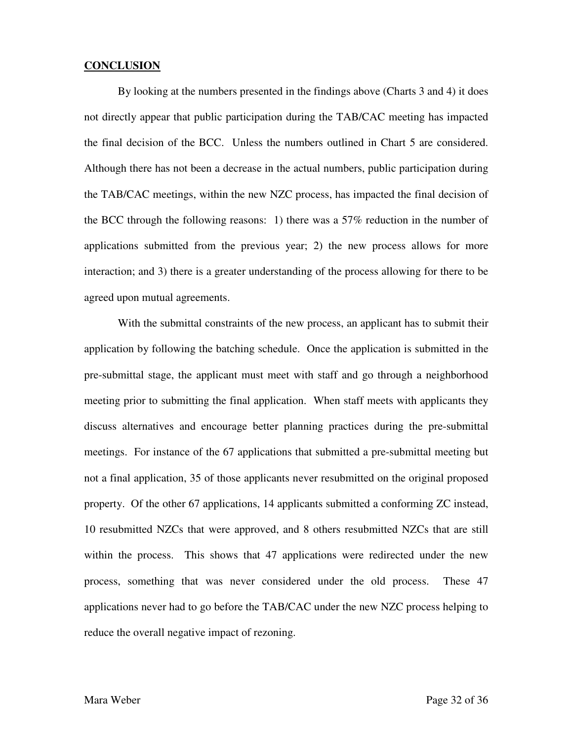#### **CONCLUSION**

 By looking at the numbers presented in the findings above (Charts 3 and 4) it does not directly appear that public participation during the TAB/CAC meeting has impacted the final decision of the BCC. Unless the numbers outlined in Chart 5 are considered. Although there has not been a decrease in the actual numbers, public participation during the TAB/CAC meetings, within the new NZC process, has impacted the final decision of the BCC through the following reasons: 1) there was a 57% reduction in the number of applications submitted from the previous year; 2) the new process allows for more interaction; and 3) there is a greater understanding of the process allowing for there to be agreed upon mutual agreements.

 With the submittal constraints of the new process, an applicant has to submit their application by following the batching schedule. Once the application is submitted in the pre-submittal stage, the applicant must meet with staff and go through a neighborhood meeting prior to submitting the final application. When staff meets with applicants they discuss alternatives and encourage better planning practices during the pre-submittal meetings. For instance of the 67 applications that submitted a pre-submittal meeting but not a final application, 35 of those applicants never resubmitted on the original proposed property. Of the other 67 applications, 14 applicants submitted a conforming ZC instead, 10 resubmitted NZCs that were approved, and 8 others resubmitted NZCs that are still within the process. This shows that 47 applications were redirected under the new process, something that was never considered under the old process. These 47 applications never had to go before the TAB/CAC under the new NZC process helping to reduce the overall negative impact of rezoning.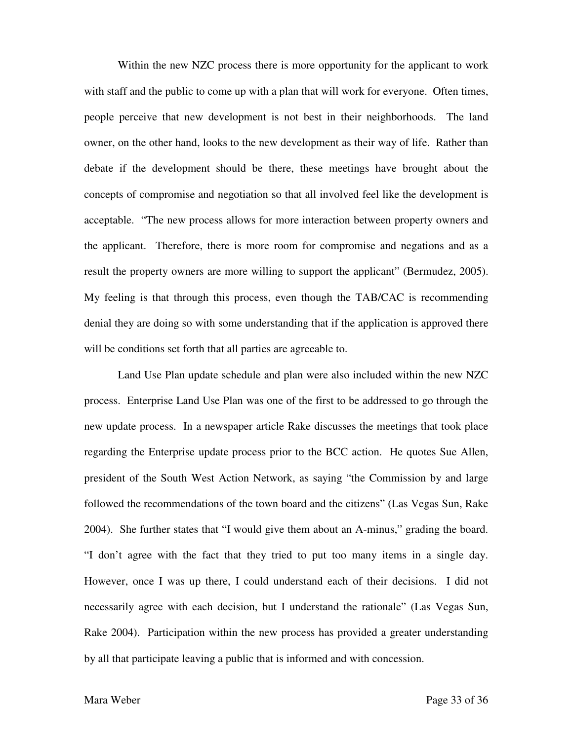Within the new NZC process there is more opportunity for the applicant to work with staff and the public to come up with a plan that will work for everyone. Often times, people perceive that new development is not best in their neighborhoods. The land owner, on the other hand, looks to the new development as their way of life. Rather than debate if the development should be there, these meetings have brought about the concepts of compromise and negotiation so that all involved feel like the development is acceptable. "The new process allows for more interaction between property owners and the applicant. Therefore, there is more room for compromise and negations and as a result the property owners are more willing to support the applicant" (Bermudez, 2005). My feeling is that through this process, even though the TAB/CAC is recommending denial they are doing so with some understanding that if the application is approved there will be conditions set forth that all parties are agreeable to.

 Land Use Plan update schedule and plan were also included within the new NZC process. Enterprise Land Use Plan was one of the first to be addressed to go through the new update process. In a newspaper article Rake discusses the meetings that took place regarding the Enterprise update process prior to the BCC action. He quotes Sue Allen, president of the South West Action Network, as saying "the Commission by and large followed the recommendations of the town board and the citizens" (Las Vegas Sun, Rake 2004). She further states that "I would give them about an A-minus," grading the board. "I don't agree with the fact that they tried to put too many items in a single day. However, once I was up there, I could understand each of their decisions. I did not necessarily agree with each decision, but I understand the rationale" (Las Vegas Sun, Rake 2004). Participation within the new process has provided a greater understanding by all that participate leaving a public that is informed and with concession.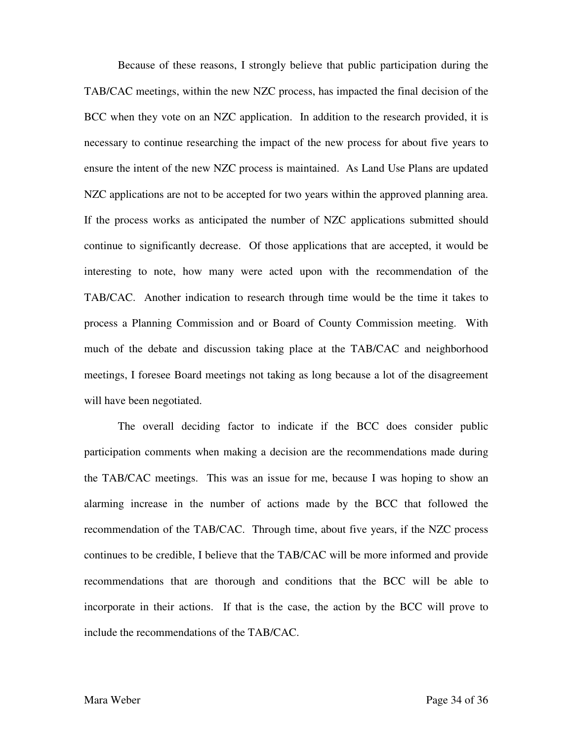Because of these reasons, I strongly believe that public participation during the TAB/CAC meetings, within the new NZC process, has impacted the final decision of the BCC when they vote on an NZC application. In addition to the research provided, it is necessary to continue researching the impact of the new process for about five years to ensure the intent of the new NZC process is maintained. As Land Use Plans are updated NZC applications are not to be accepted for two years within the approved planning area. If the process works as anticipated the number of NZC applications submitted should continue to significantly decrease. Of those applications that are accepted, it would be interesting to note, how many were acted upon with the recommendation of the TAB/CAC. Another indication to research through time would be the time it takes to process a Planning Commission and or Board of County Commission meeting. With much of the debate and discussion taking place at the TAB/CAC and neighborhood meetings, I foresee Board meetings not taking as long because a lot of the disagreement will have been negotiated.

 The overall deciding factor to indicate if the BCC does consider public participation comments when making a decision are the recommendations made during the TAB/CAC meetings. This was an issue for me, because I was hoping to show an alarming increase in the number of actions made by the BCC that followed the recommendation of the TAB/CAC. Through time, about five years, if the NZC process continues to be credible, I believe that the TAB/CAC will be more informed and provide recommendations that are thorough and conditions that the BCC will be able to incorporate in their actions. If that is the case, the action by the BCC will prove to include the recommendations of the TAB/CAC.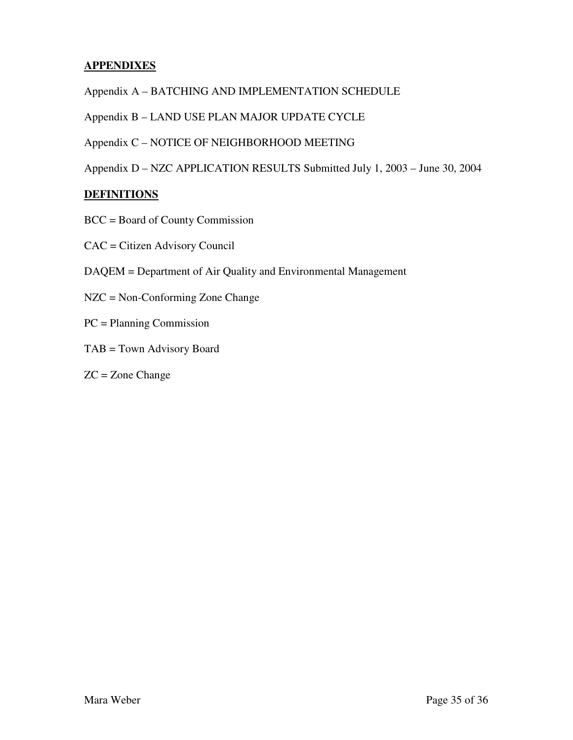# **APPENDIXES**

Appendix A – BATCHING AND IMPLEMENTATION SCHEDULE

Appendix B – LAND USE PLAN MAJOR UPDATE CYCLE

Appendix C – NOTICE OF NEIGHBORHOOD MEETING

Appendix D – NZC APPLICATION RESULTS Submitted July 1, 2003 – June 30, 2004

# **DEFINITIONS**

- BCC = Board of County Commission
- CAC = Citizen Advisory Council
- DAQEM = Department of Air Quality and Environmental Management
- NZC = Non-Conforming Zone Change
- PC = Planning Commission
- TAB = Town Advisory Board
- $ZC = Z$ one Change